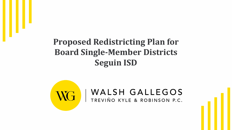#### **Proposed Redistricting Plan for Board Single-Member Districts Seguin ISD**



#### WALSH GALLEGOS TREVIÑO KYLE & ROBINSON P.C.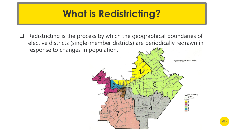### **What is Redistricting?**

 $\Box$  Redistricting is the process by which the geographical boundaries of elective districts (single-member districts) are periodically redrawn in response to changes in population.

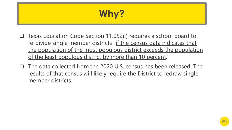# **Why?**

- $\Box$  Texas Education Code Section 11.052(i) requires a school board to re-divide single member districts "if the census data indicates that the population of the most populous district exceeds the population of the least populous district by more than 10 percent."
- $\Box$  The data collected from the 2020 U.S. census has been released. The results of that census will likely require the District to redraw single member districts.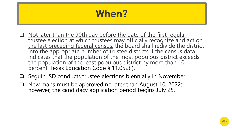## **When?**

- Q Not later than the 90th day before the date of the first regular trustee election at which trustees may officially recognize and act on the last preceding federal census, the board shall redivide the district into the appropriate number of trustee districts if the census data indicates that the population of the most populous district exceeds the population of the least populous district by more than 10 percent. Texas Education Code § 11.052(i).
- $\Box$  Seguin ISD conducts trustee elections biennially in November.
- $\Box$  New maps must be approved no later than August 10, 2022; however, the candidacy application period begins July 25.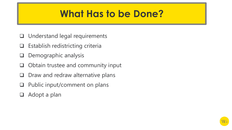#### **What Has to be Done?**

- $\Box$  Understand legal requirements
- $\Box$  Establish redistricting criteria
- $\Box$  Demographic analysis
- $\Box$  Obtain trustee and community input
- $\Box$  Draw and redraw alternative plans
- $\Box$  Public input/comment on plans
- $\Box$  Adopt a plan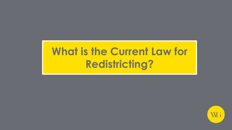# **What is the Current Law for Redistricting?**

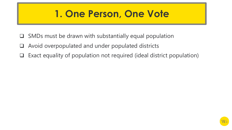#### **1. One Person, One Vote**

- $\Box$  SMDs must be drawn with substantially equal population
- $\Box$  Avoid overpopulated and under populated districts
- $\Box$  Exact equality of population not required (ideal district population)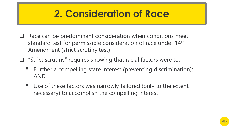### **2. Consideration of Race**

- $\Box$  Race can be predominant consideration when conditions meet standard test for permissible consideration of race under 14<sup>th</sup> Amendment (strict scrutiny test)
- $\Box$  "Strict scrutiny" requires showing that racial factors were to:
	- Further a compelling state interest (preventing discrimination); AND
	- Use of these factors was narrowly tailored (only to the extent necessary) to accomplish the compelling interest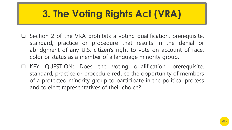# **3. The Voting Rights Act (VRA)**

- $\Box$  Section 2 of the VRA prohibits a voting qualification, prerequisite, standard, practice or procedure that results in the denial or abridgment of any U.S. citizen's right to vote on account of race, color or status as a member of a language minority group.
- q KEY QUESTION: Does the voting qualification, prerequisite, standard, practice or procedure reduce the opportunity of members of a protected minority group to participate in the political process and to elect representatives of their choice?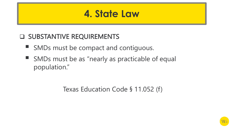#### **4. State Law**

#### **Q SUBSTANTIVE REQUIREMENTS**

- SMDs must be compact and contiguous.
- SMDs must be as "nearly as practicable of equal population."

Texas Education Code § 11.052 (f)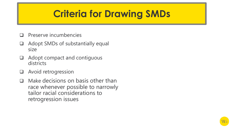### **Criteria for Drawing SMDs**

- Preserve incumbencies
- $\Box$  Adopt SMDs of substantially equal size
- $\Box$  Adopt compact and contiguous districts
- $\Box$  Avoid retrogression
- $\Box$  Make decisions on basis other than race whenever possible to narrowly tailor racial considerations to retrogression issues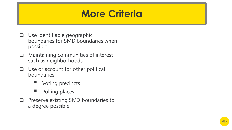#### **More Criteria**

- $\Box$  Use identifiable geographic boundaries for SMD boundaries when possible
- $\Box$  Maintaining communities of interest such as neighborhoods
- $\Box$  Use or account for other political boundaries:
	- § Voting precincts
	- § Polling places
- **Q** Preserve existing SMD boundaries to a degree possible